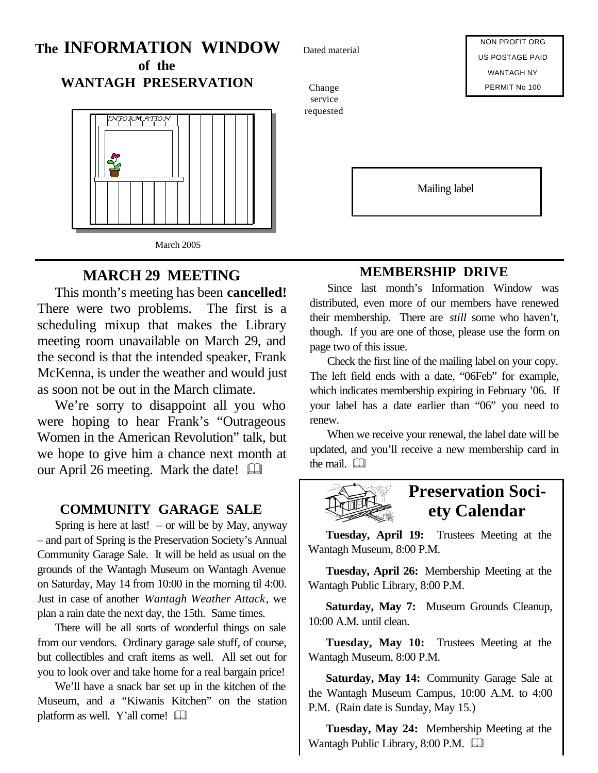# **The INFORMATION WINDOW of the**

**WANTAGH PRESERVATION**



# **MARCH 29 MEETING**

This month's meeting has been **cancelled!** There were two problems. The first is a scheduling mixup that makes the Library meeting room unavailable on March 29, and the second is that the intended speaker, Frank McKenna, is under the weather and would just as soon not be out in the March climate.

We're sorry to disappoint all you who were hoping to hear Frank's "Outrageous Women in the American Revolution" talk, but we hope to give him a chance next month at our April 26 meeting. Mark the date!

#### **COMMUNITY GARAGE SALE**

Spring is here at last!  $-$  or will be by May, anyway – and part of Spring is the Preservation Society's Annual Community Garage Sale. It will be held as usual on the grounds of the Wantagh Museum on Wantagh Avenue on Saturday, May 14 from 10:00 in the morning til 4:00. Just in case of another *Wantagh Weather Attack*, we plan a rain date the next day, the 15th. Same times.

There will be all sorts of wonderful things on sale from our vendors. Ordinary garage sale stuff, of course, but collectibles and craft items as well. All set out for you to look over and take home for a real bargain price!

We'll have a snack bar set up in the kitchen of the Museum, and a "Kiwanis Kitchen" on the station platform as well. Y'all come!  $\Box$ 

Dated material

Change service requested

NON PROFIT ORG US POSTAGE PAID WANTAGH NY PERMIT No 100

Mailing label

# **MEMBERSHIP DRIVE**

Since last month's Information Window was distributed, even more of our members have renewed their membership. There are *still* some who haven't, though. If you are one of those, please use the form on page two of this issue.

Check the first line of the mailing label on your copy. The left field ends with a date, "06Feb" for example, which indicates membership expiring in February '06. If your label has a date earlier than "06" you need to renew.

When we receive your renewal, the label date will be updated, and you'll receive a new membership card in the mail.  $\Box$ 



**Tuesday, April 19:** Trustees Meeting at the Wantagh Museum, 8:00 P.M.

**Tuesday, April 26:** Membership Meeting at the Wantagh Public Library, 8:00 P.M.

**Saturday, May 7:** Museum Grounds Cleanup, 10:00 A.M. until clean.

**Tuesday, May 10:** Trustees Meeting at the Wantagh Museum, 8:00 P.M.

**Saturday, May 14:** Community Garage Sale at the Wantagh Museum Campus, 10:00 A.M. to 4:00 P.M. (Rain date is Sunday, May 15.)

**Tuesday, May 24:** Membership Meeting at the Wantagh Public Library, 8:00 P.M.  $\Box$